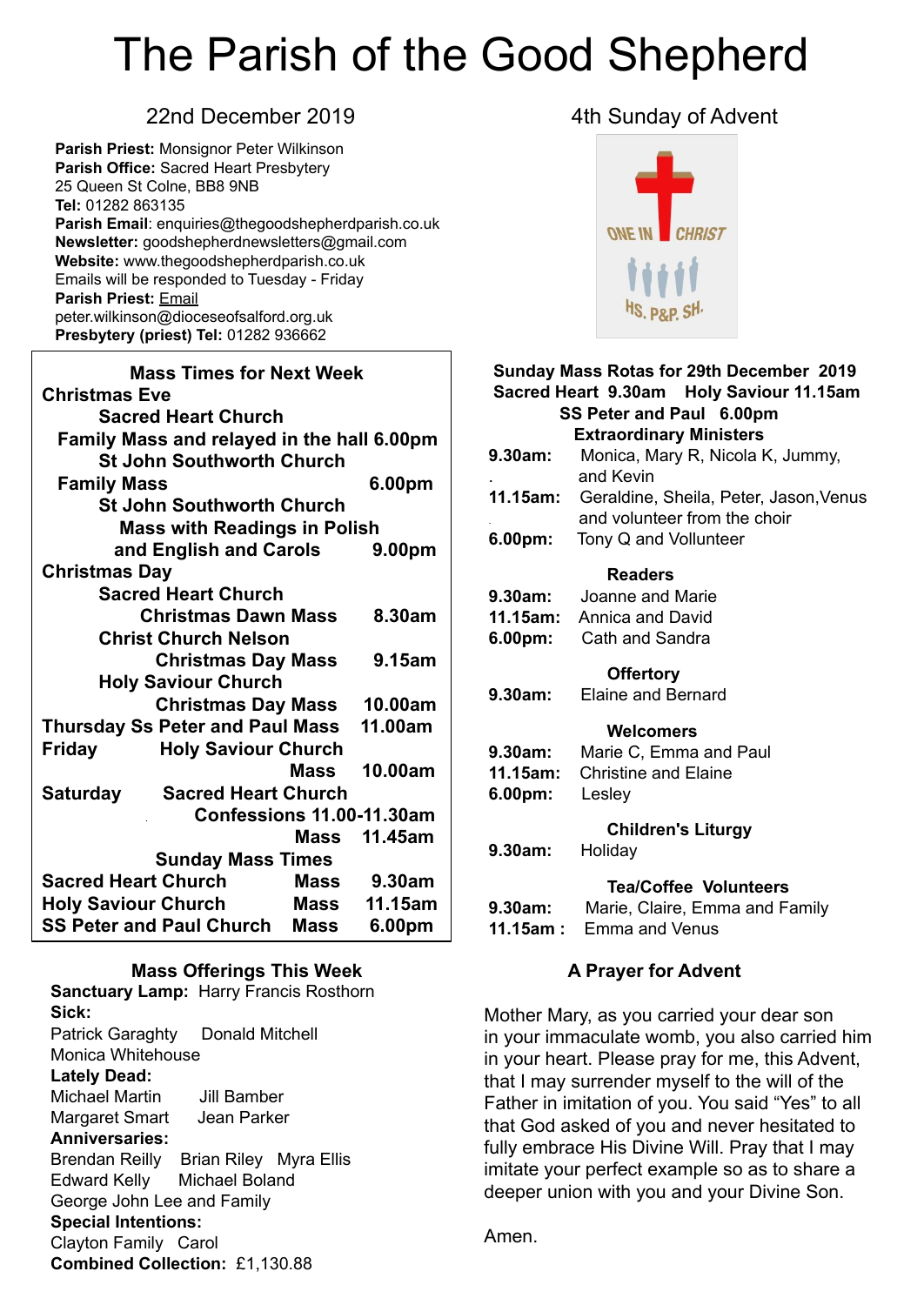# The Parish of the Good Shepherd

**Parish Priest:** Monsignor Peter Wilkinson **Parish Office:** Sacred Heart Presbytery 25 Queen St Colne, BB8 9NB **Tel:** 01282 863135 **Parish Email**: enquiries@thegoodshepherdparish.co.uk **Newsletter:** goodshepherdnewsletters@gmail.com **Website:** www.thegoodshepherdparish.co.uk Emails will be responded to Tuesday - Friday **Parish Priest:** [Email](mailto:Emailpeter.wilkinson@dioceseofsalford.org.uk) [peter.wilkinson@dioceseofsalford.org.uk](mailto:Emailpeter.wilkinson@dioceseofsalford.org.uk) **Presbytery (priest) Tel:** 01282 936662

| <b>Mass Times for Next Week</b>                |                            |             |         |  |  |  |
|------------------------------------------------|----------------------------|-------------|---------|--|--|--|
| <b>Christmas Eve</b>                           |                            |             |         |  |  |  |
| <b>Sacred Heart Church</b>                     |                            |             |         |  |  |  |
| Family Mass and relayed in the hall 6.00pm     |                            |             |         |  |  |  |
| <b>St John Southworth Church</b>               |                            |             |         |  |  |  |
| <b>Family Mass</b>                             | 6.00pm                     |             |         |  |  |  |
| <b>St John Southworth Church</b>               |                            |             |         |  |  |  |
| <b>Mass with Readings in Polish</b>            |                            |             |         |  |  |  |
|                                                | and English and Carols     |             | 9.00pm  |  |  |  |
| <b>Christmas Day</b>                           |                            |             |         |  |  |  |
| <b>Sacred Heart Church</b>                     |                            |             |         |  |  |  |
|                                                | <b>Christmas Dawn Mass</b> |             | 8.30am  |  |  |  |
| <b>Christ Church Nelson</b>                    |                            |             |         |  |  |  |
|                                                | <b>Christmas Day Mass</b>  |             | 9.15am  |  |  |  |
| <b>Holy Saviour Church</b>                     |                            |             |         |  |  |  |
|                                                | <b>Christmas Day Mass</b>  |             | 10.00am |  |  |  |
| <b>Thursday Ss Peter and Paul Mass</b>         |                            |             | 11.00am |  |  |  |
| <b>Holy Saviour Church</b><br><b>Friday</b>    |                            |             |         |  |  |  |
|                                                |                            | <b>Mass</b> | 10.00am |  |  |  |
| <b>Saturday</b>                                | <b>Sacred Heart Church</b> |             |         |  |  |  |
| Confessions 11.00-11.30am                      |                            |             |         |  |  |  |
|                                                |                            | Mass        | 11.45am |  |  |  |
| <b>Sunday Mass Times</b>                       |                            |             |         |  |  |  |
| <b>Sacred Heart Church</b><br>Mass             |                            |             | 9.30am  |  |  |  |
| <b>Holy Saviour Church</b><br>Mass             |                            |             | 11.15am |  |  |  |
| <b>SS Peter and Paul Church</b><br><b>Mass</b> |                            |             | 6.00pm  |  |  |  |

#### **Mass Offerings This Week**

**Sanctuary Lamp:** Harry Francis Rosthorn **Sick:** Patrick Garaghty Donald Mitchell Monica Whitehouse **Lately Dead:** Michael Martin Jill Bamber Margaret Smart Jean Parker **Anniversaries:** Brendan Reilly Brian Riley Myra Ellis Edward Kelly Michael Boland George John Lee and Family **Special Intentions:** Clayton Family Carol **Combined Collection:** £1,130.88

#### 22nd December 2019 **4th Sunday of Advent**



#### **Sunday Mass Rotas for 29th December 2019 Sacred Heart 9.30am Holy Saviour 11.15am SS Peter and Paul 6.00pm Extraordinary Ministers 9.30am:** Monica, Mary R, Nicola K, Jummy, . and Kevin **11.15am:** Geraldine, Sheila, Peter, Jason,Venus . and volunteer from the choir **6.00pm:** Tony Q and Vollunteer  **Readers 9.30am:** Joanne and Marie **11.15am:** Annica and David **6.00pm:** Cath and Sandra  **Offertory 9.30am:** Elaine and Bernard  **Welcomers 9.30am:** Marie C, Emma and Paul **11.15am:** Christine and Elaine **6.00pm:** Lesley  **Children's Liturgy 9.30am:** Holiday **Tea/Coffee Volunteers 9.30am:** Marie, Claire, Emma and Family **11.15am :** Emma and Venus

#### **A Prayer for Advent**

Mother Mary, as you carried your dear son in your immaculate womb, you also carried him in your heart. Please pray for me, this Advent, that I may surrender myself to the will of the Father in imitation of you. You said "Yes" to all that God asked of you and never hesitated to fully embrace His Divine Will. Pray that I may imitate your perfect example so as to share a deeper union with you and your Divine Son.

Amen.